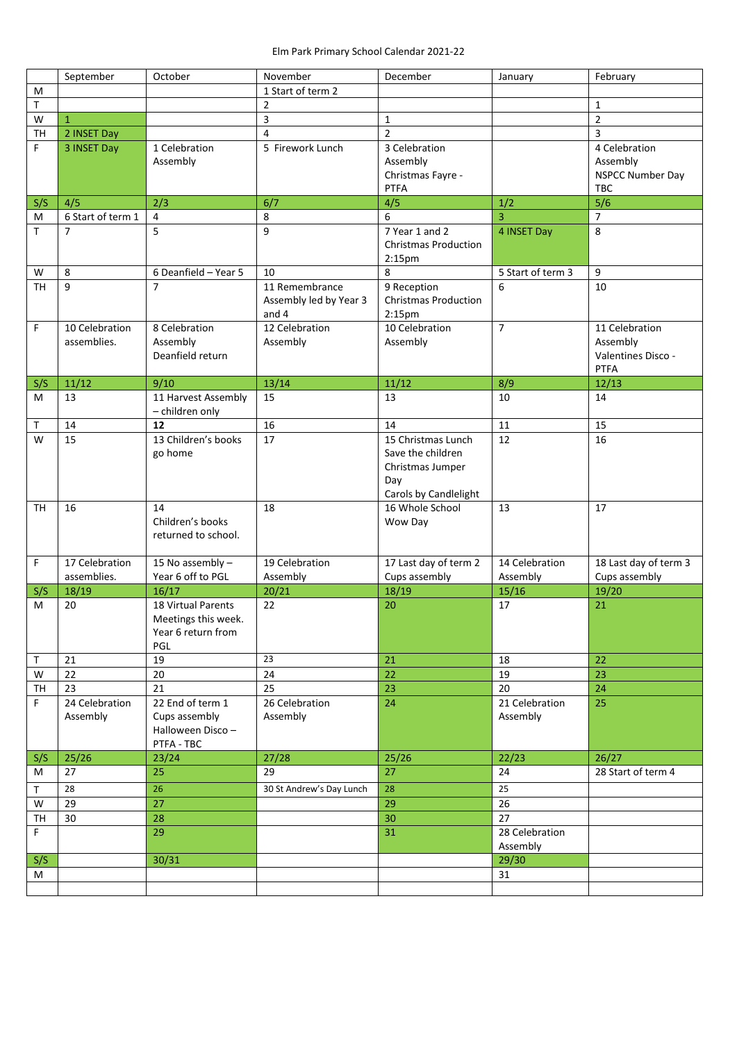|              | September         | October                   | November                 | December                              | January           | February                |
|--------------|-------------------|---------------------------|--------------------------|---------------------------------------|-------------------|-------------------------|
| M            |                   |                           | 1 Start of term 2        |                                       |                   |                         |
| T            |                   |                           | $\overline{2}$           |                                       |                   | $\mathbf{1}$            |
| W            | $\mathbf{1}$      |                           | $\mathsf{3}$             | $\mathbf{1}$                          |                   | $\overline{2}$          |
| TH           | 2 INSET Day       |                           | $\overline{4}$           | $\overline{2}$                        |                   | 3                       |
| F.           | 3 INSET Day       | 1 Celebration             | 5 Firework Lunch         | 3 Celebration                         |                   | 4 Celebration           |
|              |                   | Assembly                  |                          | Assembly                              |                   | Assembly                |
|              |                   |                           |                          | Christmas Fayre -                     |                   | <b>NSPCC Number Day</b> |
|              |                   |                           |                          | <b>PTFA</b>                           |                   | <b>TBC</b>              |
| S/S          | 4/5               | 2/3                       | 6/7                      | 4/5                                   | 1/2               | 5/6                     |
| M            | 6 Start of term 1 | $\overline{4}$            | 8                        | 6                                     | 3                 | $\overline{7}$          |
| T            | $\overline{7}$    | 5                         | 9                        | 7 Year 1 and 2                        | 4 INSET Day       | 8                       |
|              |                   |                           |                          | <b>Christmas Production</b>           |                   |                         |
|              |                   |                           |                          | 2:15pm                                |                   |                         |
| W            | 8                 | 6 Deanfield - Year 5      | 10                       | 8                                     | 5 Start of term 3 | 9                       |
| TH           | 9                 | $\overline{7}$            | 11 Remembrance           | 9 Reception                           | 6                 | 10                      |
|              |                   |                           | Assembly led by Year 3   | <b>Christmas Production</b>           |                   |                         |
|              |                   |                           | and 4                    | 2:15 <sub>pm</sub>                    |                   |                         |
| F            | 10 Celebration    | 8 Celebration             | 12 Celebration           | 10 Celebration                        | $\overline{7}$    | 11 Celebration          |
|              | assemblies.       | Assembly                  | Assembly                 | Assembly                              |                   | Assembly                |
|              |                   | Deanfield return          |                          |                                       |                   | Valentines Disco -      |
|              |                   |                           |                          |                                       |                   | <b>PTFA</b>             |
| S/S          | 11/12             | 9/10                      | 13/14                    | 11/12                                 | 8/9               | 12/13                   |
| м            | 13                | 11 Harvest Assembly       | 15                       | 13                                    | 10                | 14                      |
|              |                   | - children only           |                          |                                       |                   |                         |
| Τ<br>W       | 14<br>15          | 12<br>13 Children's books | 16<br>17                 | 14<br>15 Christmas Lunch              | 11<br>12          | 15<br>16                |
|              |                   |                           |                          |                                       |                   |                         |
|              |                   | go home                   |                          | Save the children<br>Christmas Jumper |                   |                         |
|              |                   |                           |                          | Day                                   |                   |                         |
|              |                   |                           |                          | Carols by Candlelight                 |                   |                         |
| <b>TH</b>    | 16                | 14                        | 18                       | 16 Whole School                       | 13                | 17                      |
|              |                   | Children's books          |                          | Wow Day                               |                   |                         |
|              |                   | returned to school.       |                          |                                       |                   |                         |
|              |                   |                           |                          |                                       |                   |                         |
| F            | 17 Celebration    | 15 No assembly -          | 19 Celebration           | 17 Last day of term 2                 | 14 Celebration    | 18 Last day of term 3   |
|              | assemblies.       | Year 6 off to PGL         | Assembly                 | Cups assembly                         | Assembly          | Cups assembly           |
| S/S          | 18/19             | 16/17                     | 20/21                    | 18/19                                 | 15/16             | 19/20                   |
| м            | 20                | 18 Virtual Parents        | 22                       | 20                                    | 17                | 21                      |
|              |                   | Meetings this week.       |                          |                                       |                   |                         |
|              |                   | Year 6 return from        |                          |                                       |                   |                         |
|              |                   | <b>PGL</b>                |                          |                                       |                   |                         |
| $\mathsf{T}$ | 21                | 19                        | 23                       | 21                                    | 18                | 22                      |
| W            | 22                | 20                        | $\overline{24}$          | 22                                    | 19                | 23                      |
| TH           | 23                | 21                        | $\overline{25}$          | 23                                    | 20                | 24                      |
| F.           | 24 Celebration    | 22 End of term 1          | 26 Celebration           | 24                                    | 21 Celebration    | 25                      |
|              | Assembly          | Cups assembly             | Assembly                 |                                       | Assembly          |                         |
|              |                   | Halloween Disco-          |                          |                                       |                   |                         |
|              |                   | PTFA - TBC                |                          |                                       |                   |                         |
| S/S          | 25/26             | 23/24                     | 27/28                    | 25/26                                 | 22/23             | 26/27                   |
| м            | 27                | 25                        | 29                       | 27                                    | 24                | 28 Start of term 4      |
| Τ            | 28                | 26                        | 30 St Andrew's Day Lunch | 28                                    | 25                |                         |
| W            | 29                | 27                        |                          | 29                                    | 26                |                         |
| TH           | 30                | 28                        |                          | 30                                    | 27                |                         |
| F            |                   | 29                        |                          | 31                                    | 28 Celebration    |                         |
|              |                   |                           |                          |                                       | Assembly          |                         |
| S/S          |                   | 30/31                     |                          |                                       | 29/30             |                         |
| М            |                   |                           |                          |                                       | 31                |                         |
|              |                   |                           |                          |                                       |                   |                         |